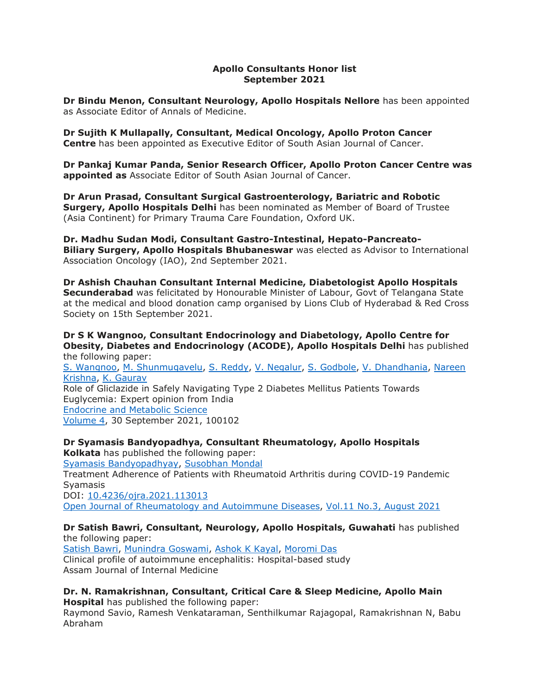### **Apollo Consultants Honor list September 2021**

**Dr Bindu Menon, Consultant Neurology, Apollo Hospitals Nellore** has been appointed as Associate Editor of Annals of Medicine.

**Dr Sujith K Mullapally, Consultant, Medical Oncology, Apollo Proton Cancer Centre** has been appointed as Executive Editor of South Asian Journal of Cancer.

**Dr Pankaj Kumar Panda, Senior Research Officer, Apollo Proton Cancer Centre was appointed as** Associate Editor of South Asian Journal of Cancer.

**Dr Arun Prasad, Consultant Surgical Gastroenterology, Bariatric and Robotic Surgery, Apollo Hospitals Delhi** has been nominated as Member of Board of Trustee (Asia Continent) for Primary Trauma Care Foundation, Oxford UK.

**Dr. Madhu Sudan Modi, Consultant Gastro-Intestinal, Hepato-Pancreato-Biliary Surgery, Apollo Hospitals Bhubaneswar** was elected as Advisor to International Association Oncology (IAO), 2nd September 2021.

**Dr Ashish Chauhan Consultant Internal Medicine, Diabetologist Apollo Hospitals Secunderabad** was felicitated by Honourable Minister of Labour, Govt of Telangana State at the medical and blood donation camp organised by Lions Club of Hyderabad & Red Cross Society on 15th September 2021.

#### **Dr S K Wangnoo, Consultant Endocrinology and Diabetology, Apollo Centre for Obesity, Diabetes and Endocrinology (ACODE), Apollo Hospitals Delhi** has published the following paper:

S. [Wangnoo,](https://apc01.safelinks.protection.outlook.com/?url=https%3A%2F%2Fwww.semanticscholar.org%2Fauthor%2FS.-Wangnoo%2F5803954&data=04%7C01%7Cdranil_t%40apollohospitalsdelhi.com%7C4dacc972dc5c424ec4ef08d99386de35%7C6a4994b0b5fa40878c728214c8b7bc21%7C0%7C0%7C637703029762479297%7CUnknown%7CTWFpbGZsb3d8eyJWIjoiMC4wLjAwMDAiLCJQIjoiV2luMzIiLCJBTiI6Ik1haWwiLCJXVCI6Mn0%3D%7C1000&sdata=%2F%2BT3r4gPzCkpKZul%2Fxh538PTD%2FLUevMi8bYBkEDAP7w%3D&reserved=0) M. [Shunmugavelu,](https://apc01.safelinks.protection.outlook.com/?url=https%3A%2F%2Fwww.semanticscholar.org%2Fauthor%2FM.-Shunmugavelu%2F2106341350&data=04%7C01%7Cdranil_t%40apollohospitalsdelhi.com%7C4dacc972dc5c424ec4ef08d99386de35%7C6a4994b0b5fa40878c728214c8b7bc21%7C0%7C0%7C637703029762489250%7CUnknown%7CTWFpbGZsb3d8eyJWIjoiMC4wLjAwMDAiLCJQIjoiV2luMzIiLCJBTiI6Ik1haWwiLCJXVCI6Mn0%3D%7C1000&sdata=vZVH7RBHhwR2CBU0KUqa2D8aO7qHGSgDKvy53eeFASY%3D&reserved=0) S. [Reddy,](https://apc01.safelinks.protection.outlook.com/?url=https%3A%2F%2Fwww.semanticscholar.org%2Fauthor%2FS.-Reddy%2F32737874&data=04%7C01%7Cdranil_t%40apollohospitalsdelhi.com%7C4dacc972dc5c424ec4ef08d99386de35%7C6a4994b0b5fa40878c728214c8b7bc21%7C0%7C0%7C637703029762489250%7CUnknown%7CTWFpbGZsb3d8eyJWIjoiMC4wLjAwMDAiLCJQIjoiV2luMzIiLCJBTiI6Ik1haWwiLCJXVCI6Mn0%3D%7C1000&sdata=gGUjK4rIu%2FhfRMLOUm%2FXJTHV58p1ZwuOyyaXlVUUS1A%3D&reserved=0) V. [Negalur,](https://apc01.safelinks.protection.outlook.com/?url=https%3A%2F%2Fwww.semanticscholar.org%2Fauthor%2FV.-Negalur%2F48792366&data=04%7C01%7Cdranil_t%40apollohospitalsdelhi.com%7C4dacc972dc5c424ec4ef08d99386de35%7C6a4994b0b5fa40878c728214c8b7bc21%7C0%7C0%7C637703029762499203%7CUnknown%7CTWFpbGZsb3d8eyJWIjoiMC4wLjAwMDAiLCJQIjoiV2luMzIiLCJBTiI6Ik1haWwiLCJXVCI6Mn0%3D%7C1000&sdata=LRx9XqTAGFyaftjNMvUo%2BzrzAkzz04vHs0mIXd5TGmw%3D&reserved=0) S. [Godbole,](https://apc01.safelinks.protection.outlook.com/?url=https%3A%2F%2Fwww.semanticscholar.org%2Fauthor%2FS.-Godbole%2F74933812&data=04%7C01%7Cdranil_t%40apollohospitalsdelhi.com%7C4dacc972dc5c424ec4ef08d99386de35%7C6a4994b0b5fa40878c728214c8b7bc21%7C0%7C0%7C637703029762509168%7CUnknown%7CTWFpbGZsb3d8eyJWIjoiMC4wLjAwMDAiLCJQIjoiV2luMzIiLCJBTiI6Ik1haWwiLCJXVCI6Mn0%3D%7C1000&sdata=czyAJfpkGDwF%2BzyTkybXVkuKs28ZpRxYhXmRD6li2SQ%3D&reserved=0) V. [Dhandhania,](https://apc01.safelinks.protection.outlook.com/?url=https%3A%2F%2Fwww.semanticscholar.org%2Fauthor%2FV.-Dhandhania%2F2819035&data=04%7C01%7Cdranil_t%40apollohospitalsdelhi.com%7C4dacc972dc5c424ec4ef08d99386de35%7C6a4994b0b5fa40878c728214c8b7bc21%7C0%7C0%7C637703029762509168%7CUnknown%7CTWFpbGZsb3d8eyJWIjoiMC4wLjAwMDAiLCJQIjoiV2luMzIiLCJBTiI6Ik1haWwiLCJXVCI6Mn0%3D%7C1000&sdata=EwLCOpfQUlrNaBmVf%2BVk8FY%2BeXei%2FqqRPRjXcvQPWMg%3D&reserved=0) [Nareen](https://apc01.safelinks.protection.outlook.com/?url=https%3A%2F%2Fwww.semanticscholar.org%2Fauthor%2FNareen-Krishna%2F2120868456&data=04%7C01%7Cdranil_t%40apollohospitalsdelhi.com%7C4dacc972dc5c424ec4ef08d99386de35%7C6a4994b0b5fa40878c728214c8b7bc21%7C0%7C0%7C637703029762519124%7CUnknown%7CTWFpbGZsb3d8eyJWIjoiMC4wLjAwMDAiLCJQIjoiV2luMzIiLCJBTiI6Ik1haWwiLCJXVCI6Mn0%3D%7C1000&sdata=%2F7Ukq7r4ozmFBqORBI%2FkB1IuMYUGY%2F4sgOa3lKnFJYg%3D&reserved=0) [Krishna,](https://apc01.safelinks.protection.outlook.com/?url=https%3A%2F%2Fwww.semanticscholar.org%2Fauthor%2FNareen-Krishna%2F2120868456&data=04%7C01%7Cdranil_t%40apollohospitalsdelhi.com%7C4dacc972dc5c424ec4ef08d99386de35%7C6a4994b0b5fa40878c728214c8b7bc21%7C0%7C0%7C637703029762519124%7CUnknown%7CTWFpbGZsb3d8eyJWIjoiMC4wLjAwMDAiLCJQIjoiV2luMzIiLCJBTiI6Ik1haWwiLCJXVCI6Mn0%3D%7C1000&sdata=%2F7Ukq7r4ozmFBqORBI%2FkB1IuMYUGY%2F4sgOa3lKnFJYg%3D&reserved=0) K. [Gaurav](https://apc01.safelinks.protection.outlook.com/?url=https%3A%2F%2Fwww.semanticscholar.org%2Fauthor%2FK.-Gaurav%2F50266116&data=04%7C01%7Cdranil_t%40apollohospitalsdelhi.com%7C4dacc972dc5c424ec4ef08d99386de35%7C6a4994b0b5fa40878c728214c8b7bc21%7C0%7C0%7C637703029762529087%7CUnknown%7CTWFpbGZsb3d8eyJWIjoiMC4wLjAwMDAiLCJQIjoiV2luMzIiLCJBTiI6Ik1haWwiLCJXVCI6Mn0%3D%7C1000&sdata=YG4Q%2BukCskX4pAX6MaOaX8BcxMhJ5vIkylTIzAclM6U%3D&reserved=0) Role of Gliclazide in Safely Navigating Type 2 Diabetes Mellitus Patients Towards Euglycemia: Expert opinion from India [Endocrine](https://apc01.safelinks.protection.outlook.com/?url=https%3A%2F%2Fwww.sciencedirect.com%2Fscience%2Fjournal%2F26663961&data=04%7C01%7Cdranil_t%40apollohospitalsdelhi.com%7C4dacc972dc5c424ec4ef08d99386de35%7C6a4994b0b5fa40878c728214c8b7bc21%7C0%7C0%7C637703029762529087%7CUnknown%7CTWFpbGZsb3d8eyJWIjoiMC4wLjAwMDAiLCJQIjoiV2luMzIiLCJBTiI6Ik1haWwiLCJXVCI6Mn0%3D%7C1000&sdata=QSNfb17fKensimmwpUDnxxp6zsKaudloq3NeEsiXbMQ%3D&reserved=0) and Metabolic Science [Volume](https://apc01.safelinks.protection.outlook.com/?url=https%3A%2F%2Fwww.sciencedirect.com%2Fscience%2Fjournal%2F26663961%2F4%2Fsupp%2FC&data=04%7C01%7Cdranil_t%40apollohospitalsdelhi.com%7C4dacc972dc5c424ec4ef08d99386de35%7C6a4994b0b5fa40878c728214c8b7bc21%7C0%7C0%7C637703029762539034%7CUnknown%7CTWFpbGZsb3d8eyJWIjoiMC4wLjAwMDAiLCJQIjoiV2luMzIiLCJBTiI6Ik1haWwiLCJXVCI6Mn0%3D%7C1000&sdata=CeC2XELqtameD2cbjIxKXSP1asTLGkGd29rALSBplpg%3D&reserved=0) 4, 30 September 2021, 100102

**Dr Syamasis Bandyopadhya, Consultant Rheumatology, Apollo Hospitals Kolkata** has published the following paper: Syamasis [Bandyopadhyay,](https://apc01.safelinks.protection.outlook.com/?url=https%3A%2F%2Fwww.scirp.org%2Fjournal%2Farticles.aspx%3Fsearchcode%3DSyamasis%2B%2BBandyopadhyay%26searchfield%3Dauthors%26page%3D1&data=04%7C01%7Cdranil_t%40apollohospitalsdelhi.com%7C4dacc972dc5c424ec4ef08d99386de35%7C6a4994b0b5fa40878c728214c8b7bc21%7C0%7C0%7C637703029762539034%7CUnknown%7CTWFpbGZsb3d8eyJWIjoiMC4wLjAwMDAiLCJQIjoiV2luMzIiLCJBTiI6Ik1haWwiLCJXVCI6Mn0%3D%7C1000&sdata=HA%2FftruEbEo0xOFxQTBvfrYuA3ouZ%2F9dUfZgJwUAVcU%3D&reserved=0) [Susobhan](https://apc01.safelinks.protection.outlook.com/?url=https%3A%2F%2Fwww.scirp.org%2Fjournal%2Farticles.aspx%3Fsearchcode%3DSusobhan%2B%2BMondal%26searchfield%3Dauthors%26page%3D1&data=04%7C01%7Cdranil_t%40apollohospitalsdelhi.com%7C4dacc972dc5c424ec4ef08d99386de35%7C6a4994b0b5fa40878c728214c8b7bc21%7C0%7C0%7C637703029762548992%7CUnknown%7CTWFpbGZsb3d8eyJWIjoiMC4wLjAwMDAiLCJQIjoiV2luMzIiLCJBTiI6Ik1haWwiLCJXVCI6Mn0%3D%7C1000&sdata=k3cZenkWZ%2FsPeFSN2FDQF6bbEVKZvY2CViwvRRiZzrY%3D&reserved=0) Mondal Treatment Adherence of Patients with Rheumatoid Arthritis during COVID-19 Pandemic Syamasis DOI: [10.4236/ojra.2021.113013](https://apc01.safelinks.protection.outlook.com/?url=https%3A%2F%2Fdoi.org%2F10.4236%2Fojra.2021.113013&data=04%7C01%7Cdranil_t%40apollohospitalsdelhi.com%7C4dacc972dc5c424ec4ef08d99386de35%7C6a4994b0b5fa40878c728214c8b7bc21%7C0%7C0%7C637703029762548992%7CUnknown%7CTWFpbGZsb3d8eyJWIjoiMC4wLjAwMDAiLCJQIjoiV2luMzIiLCJBTiI6Ik1haWwiLCJXVCI6Mn0%3D%7C1000&sdata=UCLMgX1ZmMSOpgGzULc4Ej3sD%2BONTwTaoA6b5D6ipok%3D&reserved=0) Open Journal of [Rheumatology](https://apc01.safelinks.protection.outlook.com/?url=https%3A%2F%2Fwww.scirp.org%2Fjournal%2Fjournalarticles.aspx%3Fjournalid%3D807&data=04%7C01%7Cdranil_t%40apollohospitalsdelhi.com%7C4dacc972dc5c424ec4ef08d99386de35%7C6a4994b0b5fa40878c728214c8b7bc21%7C0%7C0%7C637703029762558953%7CUnknown%7CTWFpbGZsb3d8eyJWIjoiMC4wLjAwMDAiLCJQIjoiV2luMzIiLCJBTiI6Ik1haWwiLCJXVCI6Mn0%3D%7C1000&sdata=3pVH6aWszDmJrBH0DL4aSancBgLfZH7lXEZ3Q4hdU%2BE%3D&reserved=0) and Autoimmune Diseases, Vol.11 No.3, [August](https://apc01.safelinks.protection.outlook.com/?url=https%3A%2F%2Fwww.scirp.org%2Fjournal%2Fhome.aspx%3Fissueid%3D15492%23111453&data=04%7C01%7Cdranil_t%40apollohospitalsdelhi.com%7C4dacc972dc5c424ec4ef08d99386de35%7C6a4994b0b5fa40878c728214c8b7bc21%7C0%7C0%7C637703029762568906%7CUnknown%7CTWFpbGZsb3d8eyJWIjoiMC4wLjAwMDAiLCJQIjoiV2luMzIiLCJBTiI6Ik1haWwiLCJXVCI6Mn0%3D%7C1000&sdata=V1FhoMhWCZFwESQp3%2Be8g%2FIaj4ThTpX1vrIK%2BErPatE%3D&reserved=0) 2021

# **Dr Satish Bawri, Consultant, Neurology, Apollo Hospitals, Guwahati** has published

the following paper: [Satish](https://apc01.safelinks.protection.outlook.com/?url=https%3A%2F%2Fwww.researchgate.net%2Fscientific-contributions%2FSatish-Bawri-2124694253&data=04%7C01%7Cdranil_t%40apollohospitalsdelhi.com%7C4dacc972dc5c424ec4ef08d99386de35%7C6a4994b0b5fa40878c728214c8b7bc21%7C0%7C0%7C637703029762568906%7CUnknown%7CTWFpbGZsb3d8eyJWIjoiMC4wLjAwMDAiLCJQIjoiV2luMzIiLCJBTiI6Ik1haWwiLCJXVCI6Mn0%3D%7C1000&sdata=PLlYm55KOXhDSFs4QUjaYa2KD7vjF%2FrkSYwcndTGlJw%3D&reserved=0) Bawri, Munindra [Goswami,](https://apc01.safelinks.protection.outlook.com/?url=https%3A%2F%2Fwww.researchgate.net%2Fscientific-contributions%2FMunindra-Goswami-58678920&data=04%7C01%7Cdranil_t%40apollohospitalsdelhi.com%7C4dacc972dc5c424ec4ef08d99386de35%7C6a4994b0b5fa40878c728214c8b7bc21%7C0%7C0%7C637703029762578856%7CUnknown%7CTWFpbGZsb3d8eyJWIjoiMC4wLjAwMDAiLCJQIjoiV2luMzIiLCJBTiI6Ik1haWwiLCJXVCI6Mn0%3D%7C1000&sdata=2uGCUYrwrYPvDVsBt2uavgRJnCb2g3AaBp0jP%2B%2B%2BxCI%3D&reserved=0) [Ashok](https://apc01.safelinks.protection.outlook.com/?url=https%3A%2F%2Fwww.researchgate.net%2Fprofile%2FAshok-Kayal&data=04%7C01%7Cdranil_t%40apollohospitalsdelhi.com%7C4dacc972dc5c424ec4ef08d99386de35%7C6a4994b0b5fa40878c728214c8b7bc21%7C0%7C0%7C637703029762588831%7CUnknown%7CTWFpbGZsb3d8eyJWIjoiMC4wLjAwMDAiLCJQIjoiV2luMzIiLCJBTiI6Ik1haWwiLCJXVCI6Mn0%3D%7C1000&sdata=Bd3dbhyo2FwtzACLapEiMfh3OxgOZWS%2BQJUrcRpkDdQ%3D&reserved=0) K Kayal, [Moromi](https://apc01.safelinks.protection.outlook.com/?url=https%3A%2F%2Fwww.researchgate.net%2Fscientific-contributions%2FMoromi-Das-2124646061&data=04%7C01%7Cdranil_t%40apollohospitalsdelhi.com%7C4dacc972dc5c424ec4ef08d99386de35%7C6a4994b0b5fa40878c728214c8b7bc21%7C0%7C0%7C637703029762588831%7CUnknown%7CTWFpbGZsb3d8eyJWIjoiMC4wLjAwMDAiLCJQIjoiV2luMzIiLCJBTiI6Ik1haWwiLCJXVCI6Mn0%3D%7C1000&sdata=70a2Fvt%2FCjZaBIGC74L7jORp3XttOXU6nHQSRbuie0I%3D&reserved=0) Das Clinical profile of autoimmune encephalitis: Hospital-based study Assam Journal of Internal Medicine

#### **Dr. N. Ramakrishnan, Consultant, Critical Care & Sleep Medicine, Apollo Main Hospital** has published the following paper:

Raymond Savio, Ramesh Venkataraman, Senthilkumar Rajagopal, Ramakrishnan N, Babu Abraham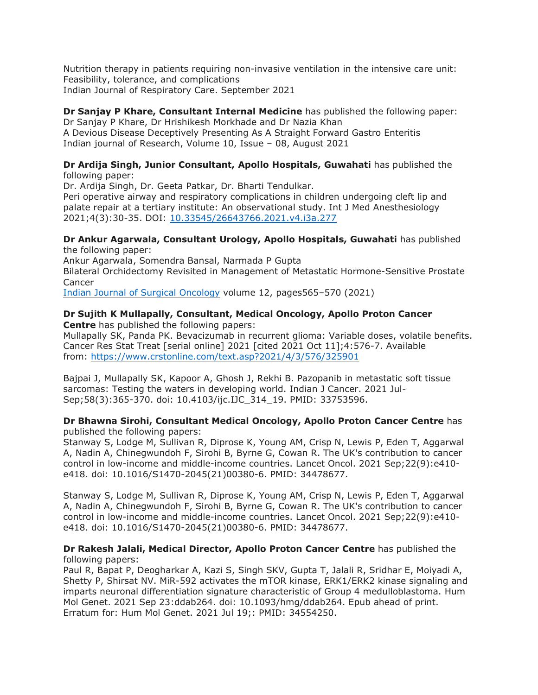Nutrition therapy in patients requiring non-invasive ventilation in the intensive care unit: Feasibility, tolerance, and complications Indian Journal of Respiratory Care. September 2021

# **Dr Sanjay P Khare, Consultant Internal Medicine** has published the following paper: Dr Sanjay P Khare, Dr Hrishikesh Morkhade and Dr Nazia Khan

A Devious Disease Deceptively Presenting As A Straight Forward Gastro Enteritis Indian journal of Research, Volume 10, Issue – 08, August 2021

#### **Dr Ardija Singh, Junior Consultant, Apollo Hospitals, Guwahati** has published the following paper:

Dr. Ardija Singh, Dr. Geeta Patkar, Dr. Bharti Tendulkar. Peri operative airway and respiratory complications in children undergoing cleft lip and palate repair at a tertiary institute: An observational study. Int J Med Anesthesiology 2021;4(3):30-35. DOI: [10.33545/26643766.2021.v4.i3a.277](https://apc01.safelinks.protection.outlook.com/?url=https%3A%2F%2Fdoi.org%2F10.33545%2F26643766.2021.v4.i3a.277&data=04%7C01%7Cdranil_t%40apollohospitalsdelhi.com%7C4dacc972dc5c424ec4ef08d99386de35%7C6a4994b0b5fa40878c728214c8b7bc21%7C0%7C0%7C637703029762598766%7CUnknown%7CTWFpbGZsb3d8eyJWIjoiMC4wLjAwMDAiLCJQIjoiV2luMzIiLCJBTiI6Ik1haWwiLCJXVCI6Mn0%3D%7C1000&sdata=XOlFtogiFqN7V%2BbzWzd1NJWNhcCdrZJAH8pDkGzziSo%3D&reserved=0)

#### **Dr Ankur Agarwala, Consultant Urology, Apollo Hospitals, Guwahati** has published the following paper:

Ankur Agarwala, Somendra Bansal, Narmada P Gupta Bilateral Orchidectomy Revisited in Management of Metastatic Hormone-Sensitive Prostate Cancer

Indian Journal of Surgical [Oncology](https://apc01.safelinks.protection.outlook.com/?url=https%3A%2F%2Flink.springer.com%2Fjournal%2F13193&data=04%7C01%7Cdranil_t%40apollohospitalsdelhi.com%7C4dacc972dc5c424ec4ef08d99386de35%7C6a4994b0b5fa40878c728214c8b7bc21%7C0%7C0%7C637703029762598766%7CUnknown%7CTWFpbGZsb3d8eyJWIjoiMC4wLjAwMDAiLCJQIjoiV2luMzIiLCJBTiI6Ik1haWwiLCJXVCI6Mn0%3D%7C1000&sdata=zL50%2BK%2B8wtjFlcMiIGuMDgbS0xJ7weTdzJCtFBD9aaM%3D&reserved=0) volume 12, pages565–570 (2021)

#### **Dr Sujith K Mullapally, Consultant, Medical Oncology, Apollo Proton Cancer Centre** has published the following papers:

Mullapally SK, Panda PK. Bevacizumab in recurrent glioma: Variable doses, volatile benefits. Cancer Res Stat Treat [serial online] 2021 [cited 2021 Oct 11];4:576-7. Available from: [https://www.crstonline.com/text.asp?2021/4/3/576/325901](https://apc01.safelinks.protection.outlook.com/?url=https%3A%2F%2Fwww.crstonline.com%2Ftext.asp%3F2021%2F4%2F3%2F576%2F325901&data=04%7C01%7Cdranil_t%40apollohospitalsdelhi.com%7C4dacc972dc5c424ec4ef08d99386de35%7C6a4994b0b5fa40878c728214c8b7bc21%7C0%7C0%7C637703029762608726%7CUnknown%7CTWFpbGZsb3d8eyJWIjoiMC4wLjAwMDAiLCJQIjoiV2luMzIiLCJBTiI6Ik1haWwiLCJXVCI6Mn0%3D%7C1000&sdata=y1cG%2B8DSbs%2FA9ZMj3k8yHnBfDk1PWheiTpy5pMMk5%2FQ%3D&reserved=0)

Bajpai J, Mullapally SK, Kapoor A, Ghosh J, Rekhi B. Pazopanib in metastatic soft tissue sarcomas: Testing the waters in developing world. Indian J Cancer. 2021 Jul-Sep;58(3):365-370. doi: 10.4103/ijc.IJC\_314\_19. PMID: 33753596.

## **Dr Bhawna Sirohi, Consultant Medical Oncology, Apollo Proton Cancer Centre** has published the following papers:

Stanway S, Lodge M, Sullivan R, Diprose K, Young AM, Crisp N, Lewis P, Eden T, Aggarwal A, Nadin A, Chinegwundoh F, Sirohi B, Byrne G, Cowan R. The UK's contribution to cancer control in low-income and middle-income countries. Lancet Oncol. 2021 Sep;22(9):e410 e418. doi: 10.1016/S1470-2045(21)00380-6. PMID: 34478677.

Stanway S, Lodge M, Sullivan R, Diprose K, Young AM, Crisp N, Lewis P, Eden T, Aggarwal A, Nadin A, Chinegwundoh F, Sirohi B, Byrne G, Cowan R. The UK's contribution to cancer control in low-income and middle-income countries. Lancet Oncol. 2021 Sep;22(9):e410 e418. doi: 10.1016/S1470-2045(21)00380-6. PMID: 34478677.

#### **Dr Rakesh Jalali, Medical Director, Apollo Proton Cancer Centre** has published the following papers:

Paul R, Bapat P, Deogharkar A, Kazi S, Singh SKV, Gupta T, Jalali R, Sridhar E, Moiyadi A, Shetty P, Shirsat NV. MiR-592 activates the mTOR kinase, ERK1/ERK2 kinase signaling and imparts neuronal differentiation signature characteristic of Group 4 medulloblastoma. Hum Mol Genet. 2021 Sep 23:ddab264. doi: 10.1093/hmg/ddab264. Epub ahead of print. Erratum for: Hum Mol Genet. 2021 Jul 19;: PMID: 34554250.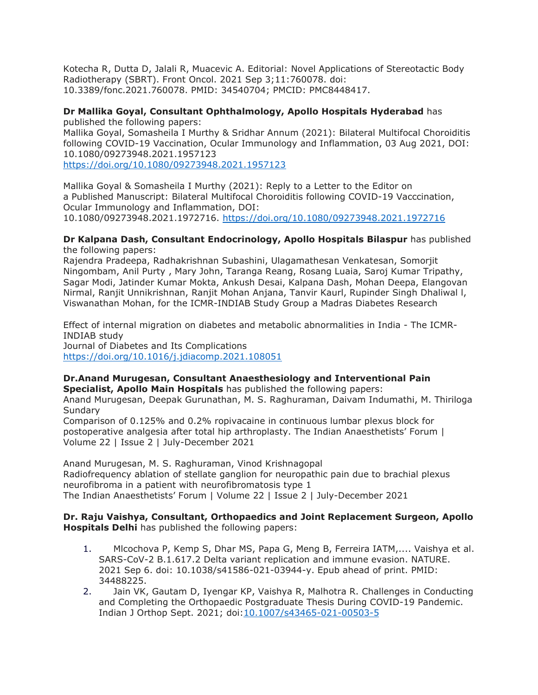Kotecha R, Dutta D, Jalali R, Muacevic A. Editorial: Novel Applications of Stereotactic Body Radiotherapy (SBRT). Front Oncol. 2021 Sep 3;11:760078. doi: 10.3389/fonc.2021.760078. PMID: 34540704; PMCID: PMC8448417.

### **Dr Mallika Goyal, Consultant Ophthalmology, Apollo Hospitals Hyderabad** has published the following papers:

Mallika Goyal, Somasheila I Murthy & Sridhar Annum (2021): Bilateral Multifocal Choroiditis following COVID-19 Vaccination, Ocular Immunology and Inflammation, 03 Aug 2021, DOI: 10.1080/09273948.2021.1957123

[https://doi.org/10.1080/09273948.2021.1957123](https://apc01.safelinks.protection.outlook.com/?url=https%3A%2F%2Fdoi.org%2F10.1080%2F09273948.2021.1957123&data=04%7C01%7Cdranil_t%40apollohospitalsdelhi.com%7C4dacc972dc5c424ec4ef08d99386de35%7C6a4994b0b5fa40878c728214c8b7bc21%7C0%7C0%7C637703029762618681%7CUnknown%7CTWFpbGZsb3d8eyJWIjoiMC4wLjAwMDAiLCJQIjoiV2luMzIiLCJBTiI6Ik1haWwiLCJXVCI6Mn0%3D%7C1000&sdata=N2%2FA3xrnJiE0ERwqMs8z4Z6VA3f0uRxNjBTVlebnGc8%3D&reserved=0)

Mallika Goyal & Somasheila I Murthy (2021): Reply to a Letter to the Editor on a Published Manuscript: Bilateral Multifocal Choroiditis following COVID-19 Vacccination, Ocular Immunology and Inflammation, DOI: 10.1080/09273948.2021.1972716. [https://doi.org/10.1080/09273948.2021.1972716](https://apc01.safelinks.protection.outlook.com/?url=https%3A%2F%2Fdoi.org%2F10.1080%2F09273948.2021.1972716&data=04%7C01%7Cdranil_t%40apollohospitalsdelhi.com%7C4dacc972dc5c424ec4ef08d99386de35%7C6a4994b0b5fa40878c728214c8b7bc21%7C0%7C0%7C637703029762618681%7CUnknown%7CTWFpbGZsb3d8eyJWIjoiMC4wLjAwMDAiLCJQIjoiV2luMzIiLCJBTiI6Ik1haWwiLCJXVCI6Mn0%3D%7C1000&sdata=HhXRB45h7ZyFqVb8NOn4Jan9Cy5CEd7OpHL6D42UpTA%3D&reserved=0)

#### **Dr Kalpana Dash, Consultant Endocrinology, Apollo Hospitals Bilaspur** has published the following papers:

Rajendra Pradeepa, Radhakrishnan Subashini, Ulagamathesan Venkatesan, Somorjit Ningombam, Anil Purty , Mary John, Taranga Reang, Rosang Luaia, Saroj Kumar Tripathy, Sagar Modi, Jatinder Kumar Mokta, Ankush Desai, Kalpana Dash, Mohan Deepa, Elangovan Nirmal, Ranjit Unnikrishnan, Ranjit Mohan Anjana, Tanvir Kaurl, Rupinder Singh Dhaliwal l, Viswanathan Mohan, for the ICMR-INDIAB Study Group a Madras Diabetes Research

Effect of internal migration on diabetes and metabolic abnormalities in India - The ICMR-INDIAB study Journal of Diabetes and Its Complications [https://doi.org/10.1016/j.jdiacomp.2021.108051](https://apc01.safelinks.protection.outlook.com/?url=https%3A%2F%2Fdoi.org%2F10.1016%2Fj.jdiacomp.2021.108051&data=04%7C01%7Cdranil_t%40apollohospitalsdelhi.com%7C4dacc972dc5c424ec4ef08d99386de35%7C6a4994b0b5fa40878c728214c8b7bc21%7C0%7C0%7C637703029762628642%7CUnknown%7CTWFpbGZsb3d8eyJWIjoiMC4wLjAwMDAiLCJQIjoiV2luMzIiLCJBTiI6Ik1haWwiLCJXVCI6Mn0%3D%7C1000&sdata=iz2fFyllUixP5HcaLC00vcGcdnzWnrvnGdipl4pmxHo%3D&reserved=0)

#### **Dr.Anand Murugesan, Consultant Anaesthesiology and Interventional Pain Specialist, Apollo Main Hospitals** has published the following papers: Anand Murugesan, Deepak Gurunathan, M. S. Raghuraman, Daivam Indumathi, M. Thiriloga Sundary

Comparison of 0.125% and 0.2% ropivacaine in continuous lumbar plexus block for postoperative analgesia after total hip arthroplasty. The Indian Anaesthetists' Forum | Volume 22 | Issue 2 | July-December 2021

Anand Murugesan, M. S. Raghuraman, Vinod Krishnagopal Radiofrequency ablation of stellate ganglion for neuropathic pain due to brachial plexus neurofibroma in a patient with neurofibromatosis type 1 The Indian Anaesthetists' Forum | Volume 22 | Issue 2 | July-December 2021

#### **Dr. Raju Vaishya, Consultant, Orthopaedics and Joint Replacement Surgeon, Apollo Hospitals Delhi** has published the following papers:

- 1. Mlcochova P, Kemp S, Dhar MS, Papa G, Meng B, Ferreira IATM,.... Vaishya et al. SARS-CoV-2 B.1.617.2 Delta variant replication and immune evasion. NATURE. 2021 Sep 6. doi: 10.1038/s41586-021-03944-y. Epub ahead of print. PMID: 34488225.
- 2. Jain VK, Gautam D, Iyengar KP, Vaishya R, Malhotra R. Challenges in Conducting and Completing the Orthopaedic Postgraduate Thesis During COVID-19 Pandemic. Indian J Orthop Sept. 2021; doi[:10.1007/s43465-021-00503-5](https://apc01.safelinks.protection.outlook.com/?url=https%3A%2F%2Fdoi.org%2F10.1007%2Fs43465-021-00503-5&data=04%7C01%7Cdranil_t%40apollohospitalsdelhi.com%7C4dacc972dc5c424ec4ef08d99386de35%7C6a4994b0b5fa40878c728214c8b7bc21%7C0%7C0%7C637703029762628642%7CUnknown%7CTWFpbGZsb3d8eyJWIjoiMC4wLjAwMDAiLCJQIjoiV2luMzIiLCJBTiI6Ik1haWwiLCJXVCI6Mn0%3D%7C1000&sdata=Z%2Fi2qMrqWVlEN28tSPVAxCcBs0Rl7cqUlJrAKrTTO4I%3D&reserved=0)